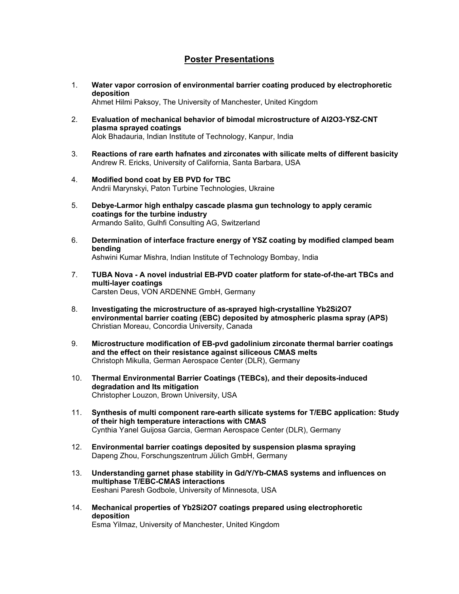## **Poster Presentations**

- 1. **Water vapor corrosion of environmental barrier coating produced by electrophoretic deposition**  Ahmet Hilmi Paksoy, The University of Manchester, United Kingdom
- 2. **Evaluation of mechanical behavior of bimodal microstructure of Al2O3-YSZ-CNT plasma sprayed coatings**  Alok Bhadauria, Indian Institute of Technology, Kanpur, India
- 3. **Reactions of rare earth hafnates and zirconates with silicate melts of different basicity**  Andrew R. Ericks, University of California, Santa Barbara, USA
- 4. **Modified bond coat by EB PVD for TBC**  Andrii Marynskyi, Paton Turbine Technologies, Ukraine
- 5. **Debye-Larmor high enthalpy cascade plasma gun technology to apply ceramic coatings for the turbine industry**  Armando Salito, Gulhfi Consulting AG, Switzerland
- 6. **Determination of interface fracture energy of YSZ coating by modified clamped beam bending**  Ashwini Kumar Mishra, Indian Institute of Technology Bombay, India
- 7. **TUBA Nova A novel industrial EB-PVD coater platform for state-of-the-art TBCs and multi-layer coatings**  Carsten Deus, VON ARDENNE GmbH, Germany
- 8. **Investigating the microstructure of as-sprayed high-crystalline Yb2Si2O7 environmental barrier coating (EBC) deposited by atmospheric plasma spray (APS)**  Christian Moreau, Concordia University, Canada
- 9. **Microstructure modification of EB-pvd gadolinium zirconate thermal barrier coatings and the effect on their resistance against siliceous CMAS melts**  Christoph Mikulla, German Aerospace Center (DLR), Germany
- 10. **Thermal Environmental Barrier Coatings (TEBCs), and their deposits-induced degradation and Its mitigation**  Christopher Louzon, Brown University, USA
- 11. **Synthesis of multi component rare-earth silicate systems for T/EBC application: Study of their high temperature interactions with CMAS**  Cynthia Yanel Guijosa Garcia, German Aerospace Center (DLR), Germany
- 12. **Environmental barrier coatings deposited by suspension plasma spraying**  Dapeng Zhou, Forschungszentrum Jülich GmbH, Germany
- 13. **Understanding garnet phase stability in Gd/Y/Yb-CMAS systems and influences on multiphase T/EBC-CMAS interactions**  Eeshani Paresh Godbole, University of Minnesota, USA
- 14. **Mechanical properties of Yb2Si2O7 coatings prepared using electrophoretic deposition**  Esma Yilmaz, University of Manchester, United Kingdom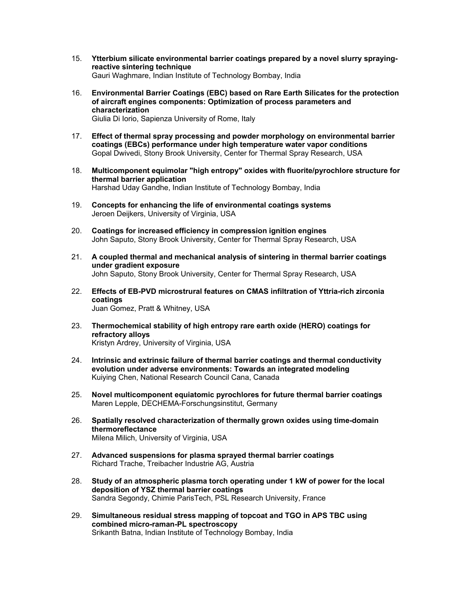- 15. **Ytterbium silicate environmental barrier coatings prepared by a novel slurry sprayingreactive sintering technique**  Gauri Waghmare, Indian Institute of Technology Bombay, India
- 16. **Environmental Barrier Coatings (EBC) based on Rare Earth Silicates for the protection of aircraft engines components: Optimization of process parameters and characterization**  Giulia Di Iorio, Sapienza University of Rome, Italy
- 17. **Effect of thermal spray processing and powder morphology on environmental barrier coatings (EBCs) performance under high temperature water vapor conditions**  Gopal Dwivedi, Stony Brook University, Center for Thermal Spray Research, USA
- 18. **Multicomponent equimolar "high entropy" oxides with fluorite/pyrochlore structure for thermal barrier application**  Harshad Uday Gandhe, Indian Institute of Technology Bombay, India
- 19. **Concepts for enhancing the life of environmental coatings systems**  Jeroen Deijkers, University of Virginia, USA
- 20. **Coatings for increased efficiency in compression ignition engines**  John Saputo, Stony Brook University, Center for Thermal Spray Research, USA
- 21. **A coupled thermal and mechanical analysis of sintering in thermal barrier coatings under gradient exposure**  John Saputo, Stony Brook University, Center for Thermal Spray Research, USA
- 22. **Effects of EB-PVD microstrural features on CMAS infiltration of Yttria-rich zirconia coatings**  Juan Gomez, Pratt & Whitney, USA
- 23. **Thermochemical stability of high entropy rare earth oxide (HERO) coatings for refractory alloys**  Kristyn Ardrey, University of Virginia, USA
- 24. **Intrinsic and extrinsic failure of thermal barrier coatings and thermal conductivity evolution under adverse environments: Towards an integrated modeling**  Kuiying Chen, National Research Council Cana, Canada
- 25. **Novel multicomponent equiatomic pyrochlores for future thermal barrier coatings**  Maren Lepple, DECHEMA-Forschungsinstitut, Germany
- 26. **Spatially resolved characterization of thermally grown oxides using time-domain thermoreflectance**  Milena Milich, University of Virginia, USA
- 27. **Advanced suspensions for plasma sprayed thermal barrier coatings**  Richard Trache, Treibacher Industrie AG, Austria
- 28. **Study of an atmospheric plasma torch operating under 1 kW of power for the local deposition of YSZ thermal barrier coatings**  Sandra Segondy, Chimie ParisTech, PSL Research University, France
- 29. **Simultaneous residual stress mapping of topcoat and TGO in APS TBC using combined micro-raman-PL spectroscopy**  Srikanth Batna, Indian Institute of Technology Bombay, India